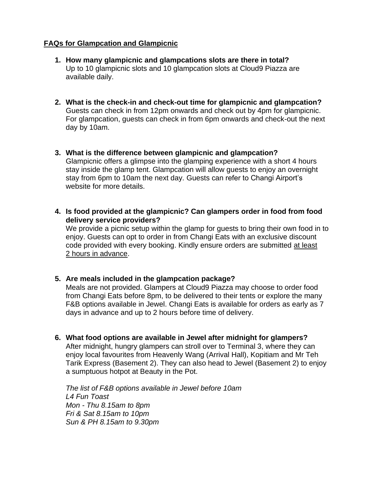## **FAQs for Glampcation and Glampicnic**

- **1. How many glampicnic and glampcations slots are there in total?** Up to 10 glampicnic slots and 10 glampcation slots at Cloud9 Piazza are available daily.
- **2. What is the check-in and check-out time for glampicnic and glampcation?** Guests can check in from 12pm onwards and check out by 4pm for glampicnic. For glampcation, guests can check in from 6pm onwards and check-out the next day by 10am.
- **3. What is the difference between glampicnic and glampcation?** Glampicnic offers a glimpse into the glamping experience with a short 4 hours stay inside the glamp tent. Glampcation will allow guests to enjoy an overnight stay from 6pm to 10am the next day. Guests can refer to Changi Airport's website for more details.
- **4. Is food provided at the glampicnic? Can glampers order in food from food delivery service providers?**

We provide a picnic setup within the glamp for guests to bring their own food in to enjoy. Guests can opt to order in from Changi Eats with an exclusive discount code provided with every booking. Kindly ensure orders are submitted at least 2 hours in advance.

### **5. Are meals included in the glampcation package?**

Meals are not provided. Glampers at Cloud9 Piazza may choose to order food from Changi Eats before 8pm, to be delivered to their tents or explore the many F&B options available in Jewel. Changi Eats is available for orders as early as 7 days in advance and up to 2 hours before time of delivery.

**6. What food options are available in Jewel after midnight for glampers?**

After midnight, hungry glampers can stroll over to Terminal 3, where they can enjoy local favourites from Heavenly Wang (Arrival Hall), Kopitiam and Mr Teh Tarik Express (Basement 2). They can also head to Jewel (Basement 2) to enjoy a sumptuous hotpot at Beauty in the Pot.

*The list of F&B options available in Jewel before 10am L4 Fun Toast Mon - Thu 8.15am to 8pm Fri & Sat 8.15am to 10pm Sun & PH 8.15am to 9.30pm*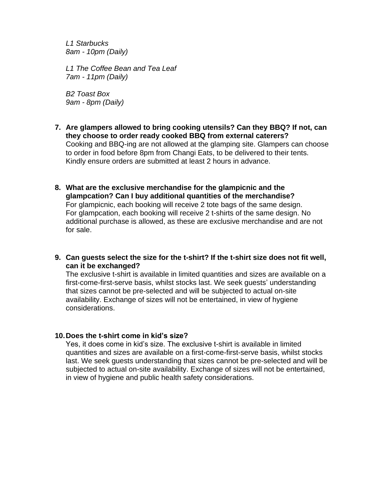*L1 Starbucks 8am - 10pm (Daily)*

*L1 The Coffee Bean and Tea Leaf 7am - 11pm (Daily)*

*B2 Toast Box 9am - 8pm (Daily)*

- **7. Are glampers allowed to bring cooking utensils? Can they BBQ? If not, can they choose to order ready cooked BBQ from external caterers?** Cooking and BBQ-ing are not allowed at the glamping site. Glampers can choose to order in food before 8pm from Changi Eats, to be delivered to their tents. Kindly ensure orders are submitted at least 2 hours in advance.
- **8. What are the exclusive merchandise for the glampicnic and the glampcation? Can I buy additional quantities of the merchandise?** For glampicnic, each booking will receive 2 tote bags of the same design. For glampcation, each booking will receive 2 t-shirts of the same design. No additional purchase is allowed, as these are exclusive merchandise and are not for sale.
- **9. Can guests select the size for the t-shirt? If the t-shirt size does not fit well, can it be exchanged?**

The exclusive t-shirt is available in limited quantities and sizes are available on a first-come-first-serve basis, whilst stocks last. We seek guests' understanding that sizes cannot be pre-selected and will be subjected to actual on-site availability. Exchange of sizes will not be entertained, in view of hygiene considerations.

#### **10.Does the t-shirt come in kid's size?**

Yes, it does come in kid's size. The exclusive t-shirt is available in limited quantities and sizes are available on a first-come-first-serve basis, whilst stocks last. We seek guests understanding that sizes cannot be pre-selected and will be subjected to actual on-site availability. Exchange of sizes will not be entertained, in view of hygiene and public health safety considerations.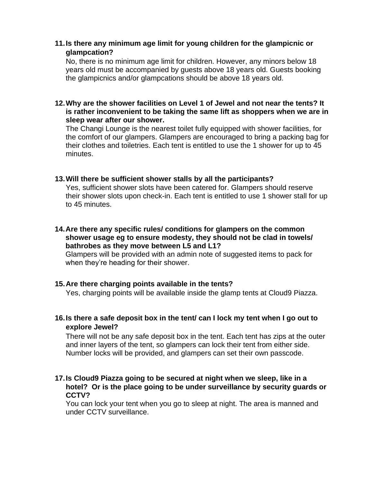# **11.Is there any minimum age limit for young children for the glampicnic or glampcation?**

No, there is no minimum age limit for children. However, any minors below 18 years old must be accompanied by guests above 18 years old. Guests booking the glampicnics and/or glampcations should be above 18 years old.

**12.Why are the shower facilities on Level 1 of Jewel and not near the tents? It is rather inconvenient to be taking the same lift as shoppers when we are in sleep wear after our shower.**

The Changi Lounge is the nearest toilet fully equipped with shower facilities, for the comfort of our glampers. Glampers are encouraged to bring a packing bag for their clothes and toiletries. Each tent is entitled to use the 1 shower for up to 45 minutes.

## **13.Will there be sufficient shower stalls by all the participants?**

Yes, sufficient shower slots have been catered for. Glampers should reserve their shower slots upon check-in. Each tent is entitled to use 1 shower stall for up to 45 minutes.

**14.Are there any specific rules/ conditions for glampers on the common shower usage eg to ensure modesty, they should not be clad in towels/ bathrobes as they move between L5 and L1?**

Glampers will be provided with an admin note of suggested items to pack for when they're heading for their shower.

# **15.Are there charging points available in the tents?**

Yes, charging points will be available inside the glamp tents at Cloud9 Piazza.

**16.Is there a safe deposit box in the tent/ can I lock my tent when I go out to explore Jewel?**

There will not be any safe deposit box in the tent. Each tent has zips at the outer and inner layers of the tent, so glampers can lock their tent from either side. Number locks will be provided, and glampers can set their own passcode.

### **17.Is Cloud9 Piazza going to be secured at night when we sleep, like in a hotel? Or is the place going to be under surveillance by security guards or CCTV?**

You can lock your tent when you go to sleep at night. The area is manned and under CCTV surveillance.